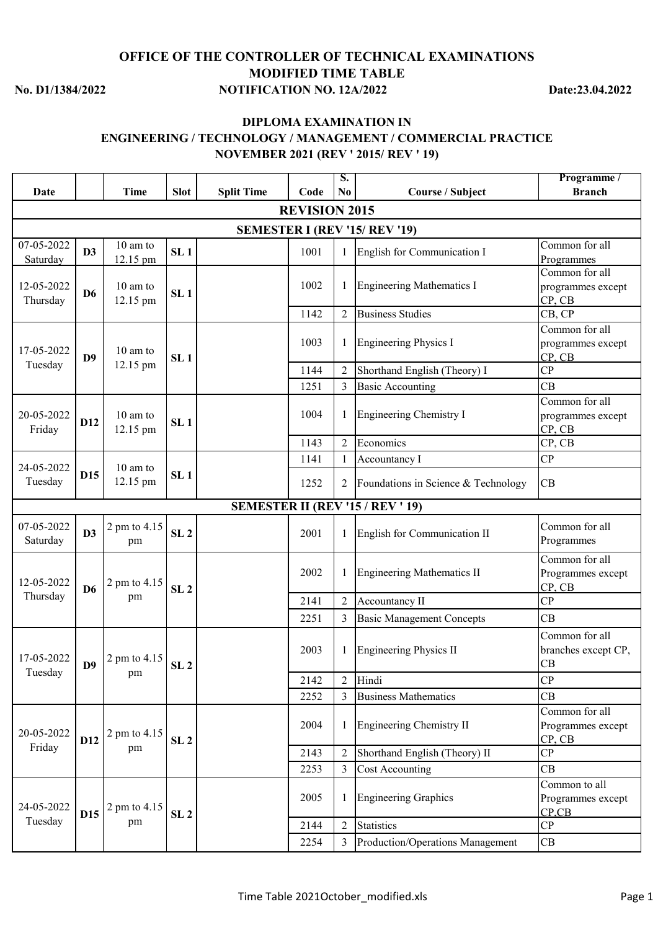## **No. D1/1384/2022 NOTIFICATION NO. 12A/2022 Date:23.04.2022 OFFICE OF THE CONTROLLER OF TECHNICAL EXAMINATIONS MODIFIED TIME TABLE**

## **DIPLOMA EXAMINATION IN ENGINEERING / TECHNOLOGY / MANAGEMENT / COMMERCIAL PRACTICE NOVEMBER 2021 (REV ' 2015/ REV ' 19)**

| Date                   |                 | <b>Time</b>          | <b>Slot</b>     | <b>Split Time</b> | Code                 | S.<br>N <sub>0</sub> | Course / Subject                        | Programme /<br><b>Branch</b>                             |
|------------------------|-----------------|----------------------|-----------------|-------------------|----------------------|----------------------|-----------------------------------------|----------------------------------------------------------|
|                        |                 |                      |                 |                   | <b>REVISION 2015</b> |                      |                                         |                                                          |
|                        |                 |                      |                 |                   |                      |                      | <b>SEMESTER I (REV '15/ REV '19)</b>    |                                                          |
| 07-05-2022             | D3              | 10 am to             | SL <sub>1</sub> |                   | 1001                 | 1                    | English for Communication I             | Common for all                                           |
| Saturday               |                 | 12.15 pm             |                 |                   |                      |                      |                                         | Programmes                                               |
| 12-05-2022<br>Thursday | D <sub>6</sub>  | 10 am to<br>12.15 pm | SL <sub>1</sub> |                   | 1002                 | 1                    | <b>Engineering Mathematics I</b>        | Common for all<br>programmes except<br>CP, CB            |
|                        |                 |                      |                 |                   | 1142                 | $\overline{2}$       | <b>Business Studies</b>                 | CB, CP                                                   |
| 17-05-2022             | D <sub>9</sub>  | 10 am to             | SL <sub>1</sub> |                   | 1003                 | 1                    | <b>Engineering Physics I</b>            | Common for all<br>programmes except<br>CP, CB            |
| Tuesday                |                 | 12.15 pm             |                 |                   | 1144                 | $\overline{2}$       | Shorthand English (Theory) I            | CP                                                       |
|                        |                 |                      |                 |                   | 1251                 | 3                    | <b>Basic Accounting</b>                 | CB                                                       |
| 20-05-2022<br>Friday   | D12             | 10 am to<br>12.15 pm | SL <sub>1</sub> |                   | 1004                 | 1                    | Engineering Chemistry I                 | Common for all<br>programmes except<br>CP, CB            |
|                        |                 |                      |                 |                   | 1143                 | $\overline{2}$       | Economics                               | CP, CB                                                   |
| 24-05-2022             |                 | 10 am to             |                 |                   | 1141                 |                      | Accountancy I                           | CP                                                       |
| Tuesday                | D15             | 12.15 pm             | SL <sub>1</sub> |                   | 1252                 | 2                    | Foundations in Science & Technology     | CB                                                       |
|                        |                 |                      |                 |                   |                      |                      | <b>SEMESTER II (REV '15 / REV ' 19)</b> |                                                          |
| 07-05-2022<br>Saturday | D3              | 2 pm to 4.15<br>pm   | SL <sub>2</sub> |                   | 2001                 |                      | English for Communication II            | Common for all<br>Programmes                             |
| 12-05-2022             | D <sub>6</sub>  | 2 pm to 4.15         | SL <sub>2</sub> |                   | 2002                 | 1                    | <b>Engineering Mathematics II</b>       | Common for all<br>Programmes except<br>CP, CB            |
| Thursday               |                 | pm                   |                 |                   | 2141                 | $\overline{2}$       | Accountancy II                          | CP                                                       |
|                        |                 |                      |                 |                   | 2251                 | 3                    | <b>Basic Management Concepts</b>        | CB                                                       |
| 17-05-2022<br>Tuesday  | D <sub>9</sub>  | 2 pm to 4.15         | SL <sub>2</sub> |                   | 2003                 |                      | <b>Engineering Physics II</b>           | Common for all<br>branches except CP,<br>CB              |
|                        |                 | pm                   |                 |                   | 2142                 | $\overline{2}$       | Hindi                                   | CP                                                       |
|                        |                 |                      |                 |                   | 2252                 | 3                    | <b>Business Mathematics</b>             | CB                                                       |
| 20-05-2022             | D <sub>12</sub> | 2 pm to 4.15         | SL <sub>2</sub> |                   | 2004                 | 1                    | <b>Engineering Chemistry II</b>         | Common for all<br>Programmes except<br>CP, CB            |
| Friday                 |                 | pm                   |                 |                   | 2143                 | $\overline{2}$       | Shorthand English (Theory) II           | CP                                                       |
|                        |                 |                      |                 |                   | 2253                 | 3                    | <b>Cost Accounting</b>                  | CB                                                       |
| 24-05-2022             | D15             | 2 pm to 4.15         | SL <sub>2</sub> |                   | 2005                 | 1                    | <b>Engineering Graphics</b>             | Common to all<br>Programmes except<br>$CP$ <sub>CB</sub> |
| Tuesday                |                 | pm                   |                 |                   | 2144                 | $\overline{2}$       | <b>Statistics</b>                       | CP                                                       |
|                        |                 |                      |                 |                   | 2254                 | 3                    | Production/Operations Management        | CB                                                       |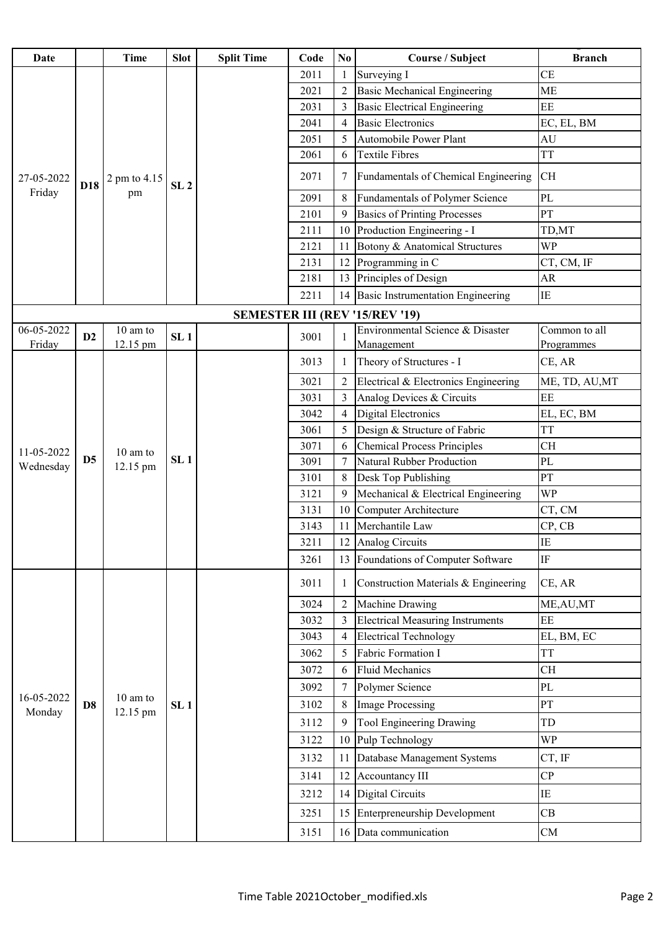| Date                 |                | Time                 | <b>Slot</b>     | <b>Split Time</b> | Code | N <sub>0</sub> | <b>Course / Subject</b>                        | <b>Branch</b>               |
|----------------------|----------------|----------------------|-----------------|-------------------|------|----------------|------------------------------------------------|-----------------------------|
|                      |                |                      |                 |                   | 2011 |                | Surveying I                                    | <b>CE</b>                   |
|                      |                |                      |                 |                   | 2021 | $\overline{2}$ | <b>Basic Mechanical Engineering</b>            | <b>ME</b>                   |
|                      |                |                      |                 |                   | 2031 | 3              | <b>Basic Electrical Engineering</b>            | $\rm EE$                    |
|                      |                |                      |                 |                   | 2041 | $\overline{4}$ | <b>Basic Electronics</b>                       | EC, EL, BM                  |
|                      |                |                      |                 |                   | 2051 | 5              | Automobile Power Plant                         | AU                          |
|                      |                |                      |                 |                   | 2061 | 6              | <b>Textile Fibres</b>                          | <b>TT</b>                   |
| 27-05-2022           | D18            | 2 pm to 4.15         | SL <sub>2</sub> |                   | 2071 | 7              | Fundamentals of Chemical Engineering           | <b>CH</b>                   |
| Friday               |                | pm                   |                 |                   | 2091 | 8              | <b>Fundamentals of Polymer Science</b>         | PL                          |
|                      |                |                      |                 |                   | 2101 | 9              | <b>Basics of Printing Processes</b>            | PT                          |
|                      |                |                      |                 |                   | 2111 | 10             | Production Engineering - I                     | TD,MT                       |
|                      |                |                      |                 |                   | 2121 | 11             | Botony & Anatomical Structures                 | <b>WP</b>                   |
|                      |                |                      |                 |                   | 2131 | 12             | Programming in C                               | CT, CM, IF                  |
|                      |                |                      |                 |                   | 2181 | 13             | Principles of Design                           | AR                          |
|                      |                |                      |                 |                   | 2211 | 14             | <b>Basic Instrumentation Engineering</b>       | IE                          |
|                      |                |                      |                 |                   |      |                | <b>SEMESTER III (REV '15/REV '19)</b>          |                             |
| 06-05-2022<br>Friday | D2             | 10 am to<br>12.15 pm | SL <sub>1</sub> |                   | 3001 |                | Environmental Science & Disaster<br>Management | Common to all<br>Programmes |
|                      |                |                      |                 |                   | 3013 | -1             | Theory of Structures - I                       | CE, AR                      |
|                      |                | 10 am to<br>12.15 pm | SL <sub>1</sub> |                   | 3021 | $\overline{2}$ | Electrical & Electronics Engineering           | ME, TD, AU, MT              |
|                      |                |                      |                 |                   | 3031 | 3              | Analog Devices & Circuits                      | EE                          |
|                      | D <sub>5</sub> |                      |                 |                   | 3042 | $\overline{4}$ | <b>Digital Electronics</b>                     | EL, EC, BM                  |
|                      |                |                      |                 |                   | 3061 | 5              | Design & Structure of Fabric                   | <b>TT</b>                   |
| 11-05-2022           |                |                      |                 |                   | 3071 | 6              | <b>Chemical Process Principles</b>             | <b>CH</b>                   |
| Wednesday            |                |                      |                 |                   | 3091 | $\overline{7}$ | Natural Rubber Production                      | <b>PL</b>                   |
|                      |                |                      |                 |                   | 3101 | 8              | Desk Top Publishing                            | PT                          |
|                      |                |                      |                 |                   | 3121 | 9              | Mechanical & Electrical Engineering            | WP                          |
|                      |                |                      |                 |                   | 3131 | 10             | Computer Architecture                          | CT, CM                      |
|                      |                |                      |                 |                   | 3143 | 11             | Merchantile Law                                | CP, CB                      |
|                      |                |                      |                 |                   | 3211 |                | 12 Analog Circuits                             | IE                          |
|                      |                |                      |                 |                   | 3261 | 13             | Foundations of Computer Software               | IF                          |
|                      |                |                      |                 |                   | 3011 |                | Construction Materials & Engineering           | CE, AR                      |
|                      |                |                      |                 |                   | 3024 | $\overline{2}$ | Machine Drawing                                | ME, AU, MT                  |
|                      |                |                      |                 |                   | 3032 | 3              | <b>Electrical Measuring Instruments</b>        | EE                          |
|                      |                |                      |                 |                   | 3043 | $\overline{4}$ | <b>Electrical Technology</b>                   | EL, BM, EC                  |
|                      |                |                      |                 |                   | 3062 | 5              | Fabric Formation I                             | <b>TT</b>                   |
|                      |                |                      |                 |                   | 3072 | 6              | <b>Fluid Mechanics</b>                         | <b>CH</b>                   |
| 16-05-2022           |                | 10 am to             |                 |                   | 3092 | 7              | Polymer Science                                | PL                          |
| Monday               | D <sub>8</sub> | 12.15 pm             | SL <sub>1</sub> |                   | 3102 | 8              | <b>Image Processing</b>                        | PT                          |
|                      |                |                      |                 |                   | 3112 | 9              | Tool Engineering Drawing                       | TD                          |
|                      |                |                      |                 |                   | 3122 | 10             | Pulp Technology                                | <b>WP</b>                   |
|                      |                |                      |                 |                   | 3132 | 11             | Database Management Systems                    | CT, IF                      |
|                      |                |                      |                 |                   | 3141 | 12             | Accountancy III                                | CP                          |
|                      |                |                      |                 |                   | 3212 | 14             | Digital Circuits                               | IE                          |
|                      |                |                      |                 |                   | 3251 | 15             | <b>Enterpreneurship Development</b>            | CB                          |
|                      |                |                      |                 |                   | 3151 |                | 16 Data communication                          | <b>CM</b>                   |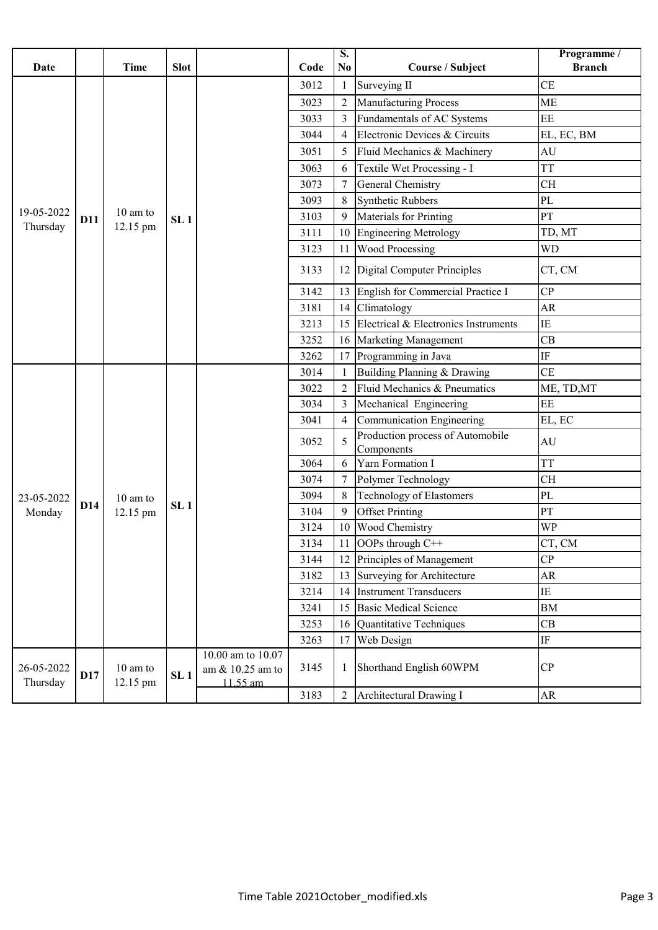| <b>Date</b>            |            | <b>Time</b>          | <b>Slot</b>     |                                                   | Code | $\overline{\mathbf{S}}$ .<br>N <sub>0</sub> | Course / Subject                               | Programme /<br><b>Branch</b> |
|------------------------|------------|----------------------|-----------------|---------------------------------------------------|------|---------------------------------------------|------------------------------------------------|------------------------------|
|                        |            |                      |                 |                                                   | 3012 |                                             | Surveying II                                   | <b>CE</b>                    |
|                        |            |                      |                 |                                                   | 3023 | $\overline{2}$                              | <b>Manufacturing Process</b>                   | <b>ME</b>                    |
|                        |            |                      |                 |                                                   | 3033 | 3                                           | Fundamentals of AC Systems                     | $\rm EE$                     |
|                        |            |                      |                 |                                                   | 3044 | $\overline{4}$                              | Electronic Devices & Circuits                  | EL, EC, BM                   |
|                        |            |                      |                 |                                                   | 3051 | 5                                           | Fluid Mechanics & Machinery                    | AU                           |
|                        |            |                      |                 |                                                   | 3063 | 6                                           | Textile Wet Processing - I                     | <b>TT</b>                    |
|                        |            |                      |                 |                                                   | 3073 | 7                                           | General Chemistry                              | <b>CH</b>                    |
|                        |            |                      |                 |                                                   | 3093 | 8                                           | <b>Synthetic Rubbers</b>                       | PL                           |
| 19-05-2022             | D11        | $10 \text{ am to}$   | SL <sub>1</sub> |                                                   | 3103 | 9                                           | Materials for Printing                         | PT                           |
| Thursday               |            | 12.15 pm             |                 |                                                   | 3111 | 10                                          | <b>Engineering Metrology</b>                   | TD, MT                       |
|                        |            |                      |                 |                                                   | 3123 | 11                                          | <b>Wood Processing</b>                         | <b>WD</b>                    |
|                        |            |                      |                 |                                                   | 3133 | 12                                          | Digital Computer Principles                    | CT, CM                       |
|                        |            |                      |                 |                                                   | 3142 | 13                                          | English for Commercial Practice I              | CP                           |
|                        |            |                      |                 |                                                   | 3181 | 14                                          | Climatology                                    | AR                           |
|                        |            |                      |                 |                                                   | 3213 | 15                                          | Electrical & Electronics Instruments           | IE                           |
|                        |            |                      |                 |                                                   | 3252 | 16                                          | <b>Marketing Management</b>                    | CB                           |
|                        |            |                      |                 |                                                   | 3262 | 17                                          | Programming in Java                            | $\rm IF$                     |
|                        |            |                      |                 |                                                   | 3014 |                                             | Building Planning & Drawing                    | <b>CE</b>                    |
|                        |            |                      |                 |                                                   | 3022 | $\overline{2}$                              | Fluid Mechanics & Pneumatics                   | ME, TD, MT                   |
|                        |            |                      |                 |                                                   | 3034 | 3                                           | Mechanical Engineering                         | EE                           |
|                        |            |                      |                 |                                                   | 3041 | $\overline{4}$                              | Communication Engineering                      | EL, EC                       |
|                        |            |                      |                 |                                                   | 3052 | 5                                           | Production process of Automobile<br>Components | AU                           |
|                        |            |                      |                 |                                                   | 3064 | 6                                           | Yarn Formation I                               | <b>TT</b>                    |
|                        |            |                      |                 |                                                   | 3074 | 7                                           | Polymer Technology                             | <b>CH</b>                    |
| 23-05-2022             |            | 10 am to             | SL <sub>1</sub> |                                                   | 3094 | 8                                           | <b>Technology of Elastomers</b>                | PL                           |
| Monday                 | D14        | 12.15 pm             |                 |                                                   | 3104 | 9                                           | <b>Offset Printing</b>                         | PT                           |
|                        |            |                      |                 |                                                   | 3124 | 10                                          | Wood Chemistry                                 | WP                           |
|                        |            |                      |                 |                                                   | 3134 |                                             | <b>OOPs</b> through $C++$                      | CT, CM                       |
|                        |            |                      |                 |                                                   | 3144 | 12                                          | Principles of Management                       | CP                           |
|                        |            |                      |                 |                                                   | 3182 | 13                                          | Surveying for Architecture                     | AR                           |
|                        |            |                      |                 |                                                   | 3214 | 14                                          | <b>Instrument Transducers</b>                  | IE                           |
|                        |            |                      |                 |                                                   | 3241 | 15                                          | <b>Basic Medical Science</b>                   | <b>BM</b>                    |
|                        |            |                      |                 |                                                   | 3253 | 16                                          | Quantitative Techniques                        | CB                           |
|                        |            |                      |                 |                                                   | 3263 | 17                                          | Web Design                                     | $\rm IF$                     |
| 26-05-2022<br>Thursday | <b>D17</b> | 10 am to<br>12.15 pm | SL <sub>1</sub> | 10.00 am to 10.07<br>am & 10.25 am to<br>11.55 am | 3145 |                                             | Shorthand English 60WPM                        | CP                           |
|                        |            |                      |                 |                                                   | 3183 | $\overline{2}$                              | Architectural Drawing I                        | AR                           |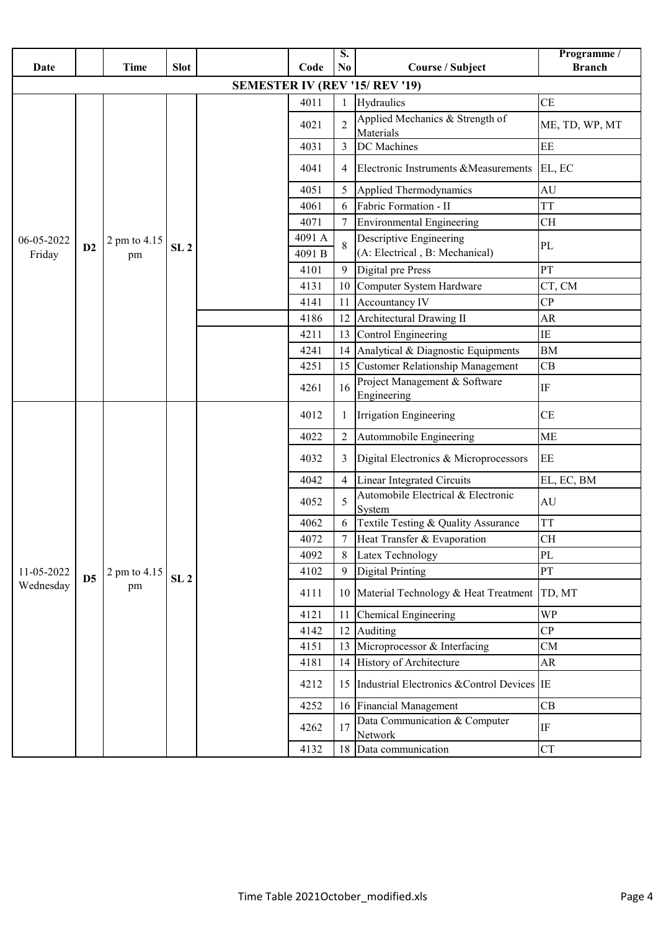| Date                 |                | <b>Time</b>        | <b>Slot</b>     |  | Code            | S.<br>N <sub>0</sub> | Course / Subject                                          | Programme /<br><b>Branch</b> |
|----------------------|----------------|--------------------|-----------------|--|-----------------|----------------------|-----------------------------------------------------------|------------------------------|
|                      |                |                    |                 |  |                 |                      | <b>SEMESTER IV (REV '15/ REV '19)</b>                     |                              |
|                      |                |                    |                 |  | 4011            |                      | Hydraulics                                                | <b>CE</b>                    |
|                      |                |                    |                 |  | 4021            | $\overline{2}$       | Applied Mechanics & Strength of<br>Materials              | ME, TD, WP, MT               |
|                      |                |                    |                 |  | 4031            | 3                    | DC Machines                                               | EE                           |
|                      |                |                    |                 |  | 4041            | 4                    | Electronic Instruments & Measurements EL, EC              |                              |
|                      |                |                    |                 |  | 4051            | 5                    | Applied Thermodynamics                                    | AU                           |
|                      |                |                    |                 |  | 4061            | 6                    | Fabric Formation - II                                     | <b>TT</b>                    |
|                      |                |                    |                 |  | 4071            |                      | <b>Environmental Engineering</b>                          | <b>CH</b>                    |
| 06-05-2022<br>Friday | D2             | 2 pm to 4.15<br>pm | SL <sub>2</sub> |  | 4091 A<br>4091B |                      | Descriptive Engineering<br>(A: Electrical, B: Mechanical) | PL                           |
|                      |                |                    |                 |  | 4101            | 9                    | Digital pre Press                                         | PT                           |
|                      |                |                    |                 |  | 4131            | 10                   | Computer System Hardware                                  | CT, CM                       |
|                      |                |                    |                 |  | 4141            | 11                   | Accountancy IV                                            | CP                           |
|                      |                |                    |                 |  | 4186            | 12                   | Architectural Drawing II                                  | <b>AR</b>                    |
|                      |                |                    |                 |  | 4211            | 13                   | Control Engineering                                       | IE                           |
|                      |                |                    |                 |  | 4241            | 14                   | Analytical & Diagnostic Equipments                        | <b>BM</b>                    |
|                      |                |                    |                 |  | 4251            | 15                   | <b>Customer Relationship Management</b>                   | CB                           |
|                      |                |                    |                 |  | 4261            | 16                   | Project Management & Software<br>Engineering              | $\rm IF$                     |
|                      |                |                    |                 |  | 4012            |                      | Irrigation Engineering                                    | CE                           |
|                      |                |                    |                 |  | 4022            | $\overline{2}$       | Autommobile Engineering                                   | <b>ME</b>                    |
|                      |                |                    |                 |  | 4032            | 3                    | Digital Electronics & Microprocessors                     | EE                           |
|                      |                |                    |                 |  | 4042            | $\overline{4}$       | <b>Linear Integrated Circuits</b>                         | EL, EC, BM                   |
|                      |                |                    |                 |  | 4052            | 5                    | Automobile Electrical & Electronic<br>System              | AU                           |
|                      |                |                    |                 |  | 4062            |                      | Textile Testing & Quality Assurance                       | <b>TT</b>                    |
|                      |                |                    |                 |  | 4072            | $7\overline{ }$      | Heat Transfer & Evaporation                               | CH                           |
|                      |                |                    |                 |  | 4092            |                      | Latex Technology                                          | PL                           |
| 11-05-2022           | D <sub>5</sub> | 2 pm to 4.15       | SL <sub>2</sub> |  | 4102            | 9                    | <b>Digital Printing</b>                                   | PT                           |
| Wednesday            |                | pm                 |                 |  | 4111            | 10                   | Material Technology & Heat Treatment                      | TD, MT                       |
|                      |                |                    |                 |  | 4121            | 11                   | <b>Chemical Engineering</b>                               | <b>WP</b>                    |
|                      |                |                    |                 |  | 4142            | 12                   | Auditing                                                  | CP                           |
|                      |                |                    |                 |  | 4151            | 13                   | Microprocessor & Interfacing                              | CM                           |
|                      |                |                    |                 |  | 4181            | 14                   | History of Architecture                                   | AR                           |
|                      |                |                    |                 |  | 4212            | 15                   | Industrial Electronics & Control Devices IE               |                              |
|                      |                |                    |                 |  | 4252            | 16                   | Financial Management                                      | CB                           |
|                      |                |                    |                 |  | 4262            | 17                   | Data Communication & Computer<br>Network                  | IF                           |
|                      |                |                    |                 |  | 4132            | 18                   | Data communication                                        | <b>CT</b>                    |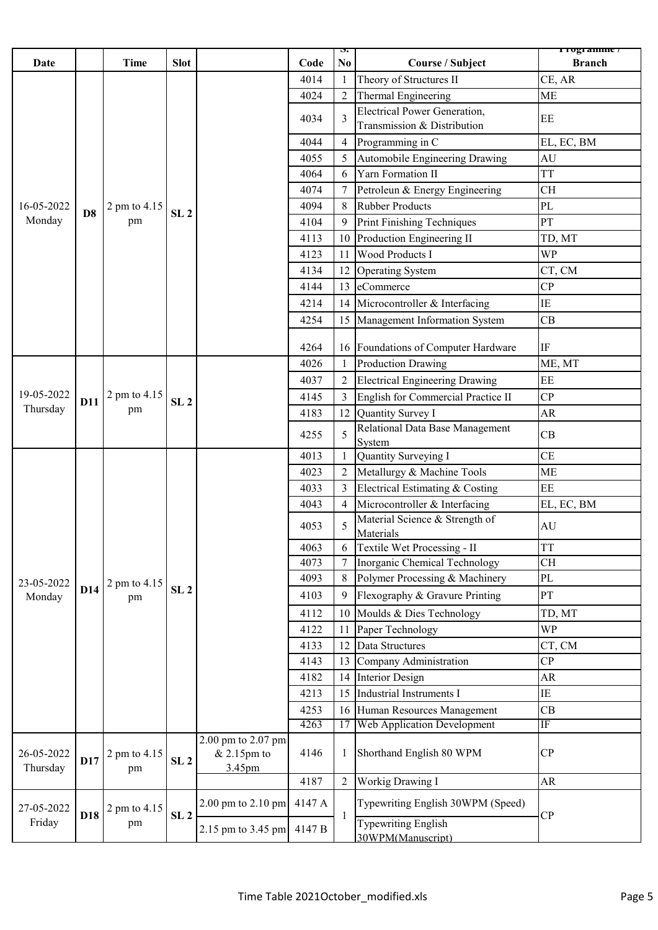| <b>Date</b>            |                | <b>Time</b>        | <b>Slot</b>     |                                                       | Code   | $\mathbf{p}$<br>No. | <b>Course / Subject</b>                         | r rogramme /<br><b>Branch</b> |
|------------------------|----------------|--------------------|-----------------|-------------------------------------------------------|--------|---------------------|-------------------------------------------------|-------------------------------|
|                        |                |                    |                 |                                                       | 4014   | -1                  | Theory of Structures II                         | CE, AR                        |
|                        |                |                    |                 |                                                       | 4024   | $\overline{2}$      | Thermal Engineering                             | <b>ME</b>                     |
|                        |                |                    |                 |                                                       |        |                     | <b>Electrical Power Generation,</b>             |                               |
|                        |                |                    |                 |                                                       | 4034   | 3                   | Transmission & Distribution                     | EE                            |
|                        |                |                    |                 |                                                       | 4044   | $\overline{4}$      | Programming in C                                | EL, EC, BM                    |
|                        |                |                    |                 |                                                       | 4055   | 5                   | Automobile Engineering Drawing                  | AU                            |
| 16-05-2022             |                |                    |                 |                                                       | 4064   | 6                   | Yarn Formation II                               | <b>TT</b>                     |
|                        |                |                    |                 |                                                       | 4074   |                     | Petroleun & Energy Engineering                  | <b>CH</b>                     |
|                        |                | 2 pm to 4.15       |                 |                                                       | 4094   | 8                   | <b>Rubber Products</b>                          | PL                            |
| Monday                 | D <sub>8</sub> | pm                 | SL <sub>2</sub> |                                                       | 4104   | 9                   | Print Finishing Techniques                      | PT                            |
|                        |                |                    |                 |                                                       | 4113   | 10                  | Production Engineering II                       | TD, MT                        |
|                        |                |                    |                 |                                                       | 4123   | 11                  | <b>Wood Products I</b>                          | <b>WP</b>                     |
|                        |                |                    |                 |                                                       | 4134   | 12                  | <b>Operating System</b>                         | CT, CM                        |
|                        |                |                    |                 |                                                       | 4144   | 13                  | eCommerce                                       | CP                            |
|                        |                |                    |                 |                                                       | 4214   | 14                  | Microcontroller & Interfacing                   | $\rm IE$                      |
|                        |                |                    |                 |                                                       | 4254   | 15                  | Management Information System                   | CB                            |
|                        |                |                    |                 |                                                       |        |                     |                                                 |                               |
|                        |                |                    |                 |                                                       | 4264   | 16                  | Foundations of Computer Hardware                | $\rm IF$                      |
|                        |                |                    |                 |                                                       | 4026   |                     | <b>Production Drawing</b>                       | ME, MT                        |
|                        |                | 2 pm to 4.15<br>pm | SL <sub>2</sub> |                                                       | 4037   | $\overline{2}$      | <b>Electrical Engineering Drawing</b>           | EE                            |
| 19-05-2022             | D11            |                    |                 |                                                       | 4145   |                     | English for Commercial Practice II              | CP                            |
| Thursday               |                |                    |                 |                                                       | 4183   | 12                  | Quantity Survey I                               | AR                            |
|                        |                |                    |                 |                                                       | 4255   | 5                   | Relational Data Base Management<br>System       | CB                            |
|                        |                |                    |                 |                                                       | 4013   | $\mathbf 1$         | Quantity Surveying I                            | CE                            |
|                        |                |                    |                 |                                                       | 4023   | $\overline{2}$      | Metallurgy & Machine Tools                      | <b>ME</b>                     |
|                        |                |                    |                 |                                                       | 4033   | 3                   | Electrical Estimating & Costing                 | EE                            |
|                        |                |                    |                 |                                                       | 4043   | $\overline{4}$      | Microcontroller & Interfacing                   | EL, EC, BM                    |
|                        |                |                    |                 |                                                       | 4053   | 5                   | Material Science & Strength of<br>Materials     | $\mathrm{AU}$                 |
|                        |                |                    |                 |                                                       | 4063   |                     | Textile Wet Processing - II                     | <b>TT</b>                     |
|                        |                |                    |                 |                                                       | 4073   |                     | Inorganic Chemical Technology                   | CH                            |
| 23-05-2022             |                | 2 pm to 4.15       |                 |                                                       | 4093   | 8                   | Polymer Processing & Machinery                  | PL                            |
| Monday                 | D14            | pm                 | SL <sub>2</sub> |                                                       | 4103   | 9                   | Flexography & Gravure Printing                  | PT                            |
|                        |                |                    |                 |                                                       | 4112   | 10                  | Moulds & Dies Technology                        | TD, MT                        |
|                        |                |                    |                 |                                                       | 4122   | 11                  | Paper Technology                                | <b>WP</b>                     |
|                        |                |                    |                 |                                                       | 4133   | 12                  | Data Structures                                 | CT, CM                        |
|                        |                |                    |                 |                                                       | 4143   | 13                  | Company Administration                          | CP                            |
|                        |                |                    |                 |                                                       | 4182   | 14                  | <b>Interior Design</b>                          | AR                            |
|                        |                |                    |                 |                                                       | 4213   | 15                  | Industrial Instruments I                        | $\rm IE$                      |
|                        |                |                    |                 |                                                       | 4253   | 16                  | Human Resources Management                      | CB                            |
|                        |                |                    |                 |                                                       | 4263   | 17                  | <b>Web Application Development</b>              | IF                            |
| 26-05-2022<br>Thursday | D17            | 2 pm to 4.15<br>pm | SL <sub>2</sub> | 2.00 pm to 2.07 pm<br>$& 2.15 \text{pm}$ to<br>3.45pm | 4146   | 1                   | Shorthand English 80 WPM                        | CP                            |
|                        |                |                    |                 |                                                       | 4187   | $\overline{2}$      | Workig Drawing I                                | ${\sf AR}$                    |
| 27-05-2022             | D18            | 2 pm to 4.15       | SL <sub>2</sub> | $2.00$ pm to $2.10$ pm                                | 4147 A | -1                  | Typewriting English 30WPM (Speed)               | CP                            |
| Friday                 |                | pm                 |                 | 2.15 pm to 3.45 pm                                    | 4147 B |                     | <b>Typewriting English</b><br>30WPM(Manuscript) |                               |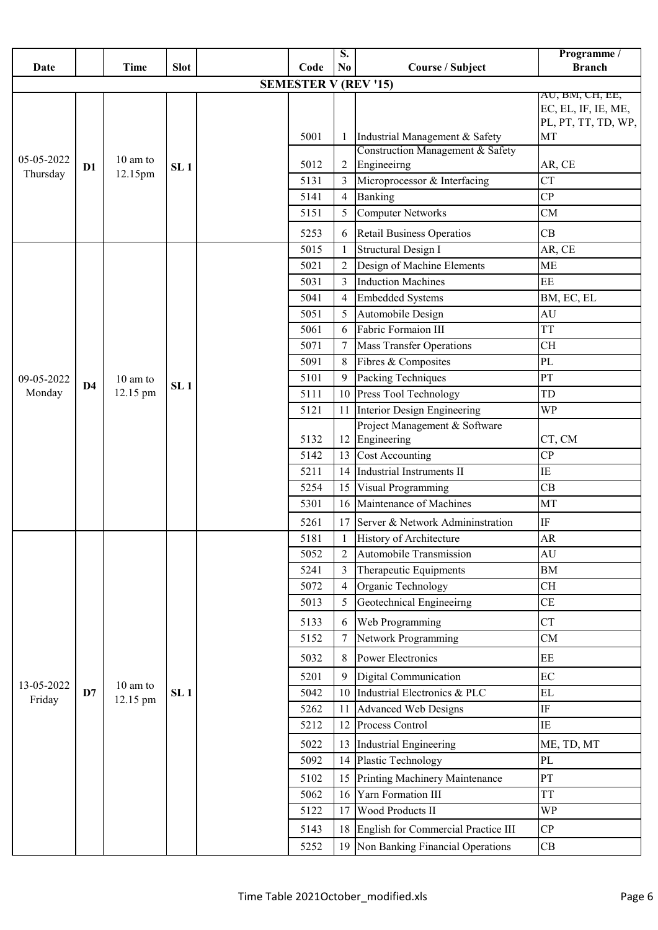|                        |                |                               |                 |      |                             | $\overline{\mathbf{S}}$ . |                                     | Programme /                            |
|------------------------|----------------|-------------------------------|-----------------|------|-----------------------------|---------------------------|-------------------------------------|----------------------------------------|
| Date                   |                | <b>Time</b>                   | <b>Slot</b>     |      | Code                        | N <sub>0</sub>            | <b>Course / Subject</b>             | <b>Branch</b>                          |
|                        |                |                               |                 |      | <b>SEMESTER V (REV '15)</b> |                           |                                     |                                        |
|                        |                |                               |                 |      |                             |                           |                                     | AU, BM, CH, EE,<br>EC, EL, IF, IE, ME, |
|                        |                |                               |                 |      |                             |                           |                                     | PL, PT, TT, TD, WP,                    |
|                        |                |                               |                 |      | 5001                        |                           | Industrial Management & Safety      | MT                                     |
|                        |                | $10 \text{ am to}$<br>12.15pm |                 |      |                             |                           | Construction Management & Safety    |                                        |
| 05-05-2022<br>Thursday | D1             |                               | SL <sub>1</sub> |      | 5012                        | 2                         | Engineeirng                         | AR, CE                                 |
|                        |                |                               |                 |      | 5131                        | 3                         | Microprocessor & Interfacing        | <b>CT</b>                              |
|                        |                |                               |                 |      | 5141                        | $\overline{4}$            | Banking                             | CP                                     |
|                        |                |                               |                 |      | 5151                        | 5                         | <b>Computer Networks</b>            | CM                                     |
|                        |                |                               |                 |      | 5253                        | 6                         | <b>Retail Business Operatios</b>    | CB                                     |
|                        |                |                               |                 |      | 5015                        | $\mathbf{1}$              | Structural Design I                 | AR, CE                                 |
|                        |                |                               |                 |      | 5021                        | $\overline{2}$            | Design of Machine Elements          | <b>ME</b>                              |
|                        |                |                               |                 | 5031 | 3                           | <b>Induction Machines</b> | EE                                  |                                        |
|                        |                |                               |                 | 5041 | 4                           | <b>Embedded Systems</b>   | BM, EC, EL                          |                                        |
|                        |                |                               |                 |      | 5051                        | 5                         | Automobile Design                   | AU                                     |
|                        |                |                               |                 |      | 5061                        | 6                         | Fabric Formaion III                 | <b>TT</b>                              |
|                        |                |                               |                 |      | 5071                        | 7                         | <b>Mass Transfer Operations</b>     | <b>CH</b>                              |
|                        |                |                               |                 |      | 5091                        | 8                         | Fibres & Composites                 | PL                                     |
| 09-05-2022             | D <sub>4</sub> | 10 am to                      | SL <sub>1</sub> |      | 5101                        | 9                         | Packing Techniques                  | PT                                     |
| Monday                 |                | 12.15 pm                      |                 |      | 5111                        | 10                        | Press Tool Technology               | TD                                     |
|                        |                |                               |                 |      | 5121                        | 11                        | Interior Design Engineering         | <b>WP</b>                              |
|                        |                |                               |                 |      |                             |                           | Project Management & Software       |                                        |
|                        |                |                               |                 |      | 5132                        | 12                        | Engineering                         | CT, CM                                 |
|                        |                |                               |                 |      | 5142                        | 13                        | <b>Cost Accounting</b>              | CP                                     |
|                        |                |                               |                 |      | 5211                        | 14                        | <b>Industrial Instruments II</b>    | IE                                     |
|                        |                |                               |                 |      | 5254                        | 15                        | Visual Programming                  | CB                                     |
|                        |                |                               |                 |      | 5301                        | 16                        | Maintenance of Machines             | MT                                     |
|                        |                |                               |                 |      | 5261                        | 17                        | Server & Network Admininstration    | IF                                     |
|                        |                |                               |                 |      | 5181                        | 1                         | History of Architecture             | <b>AR</b>                              |
|                        |                |                               |                 |      | 5052                        | $\overline{2}$            | Automobile Transmission             | AU                                     |
|                        |                |                               |                 |      | 5241                        | 3                         | Therapeutic Equipments              | <b>BM</b>                              |
|                        |                |                               |                 |      | 5072                        | 4                         | Organic Technology                  | <b>CH</b>                              |
|                        |                |                               |                 |      | 5013                        | 5                         | Geotechnical Engineeirng            | CE                                     |
|                        |                |                               |                 |      | 5133                        | 6                         | Web Programming                     | <b>CT</b>                              |
|                        |                |                               |                 |      | 5152                        | 7                         | Network Programming                 | CM                                     |
|                        |                |                               |                 |      | 5032                        | 8                         | <b>Power Electronics</b>            | EE                                     |
|                        |                |                               |                 |      | 5201                        | 9                         | Digital Communication               | EC                                     |
| 13-05-2022             | D7             | 10 am to                      | SL <sub>1</sub> |      | 5042                        | 10                        | Industrial Electronics & PLC        | $\mathbf{EL}$                          |
| Friday                 |                | 12.15 pm                      |                 |      | 5262                        | 11                        | <b>Advanced Web Designs</b>         | IF                                     |
|                        |                |                               |                 |      | 5212                        | 12                        | Process Control                     | IE                                     |
|                        |                |                               |                 |      | 5022                        | 13                        | Industrial Engineering              | ME, TD, MT                             |
|                        |                |                               |                 |      | 5092                        | 14                        | Plastic Technology                  | PL                                     |
|                        |                |                               |                 |      | 5102                        | 15                        | Printing Machinery Maintenance      | PT                                     |
|                        |                |                               |                 |      | 5062                        | 16                        | Yarn Formation III                  | <b>TT</b>                              |
|                        |                |                               |                 |      | 5122                        | 17                        | Wood Products II                    | <b>WP</b>                              |
|                        |                |                               |                 |      | 5143                        | 18                        | English for Commercial Practice III | CP                                     |
|                        |                |                               |                 |      |                             |                           |                                     |                                        |
|                        |                |                               |                 |      | 5252                        | 19                        | Non Banking Financial Operations    | CB                                     |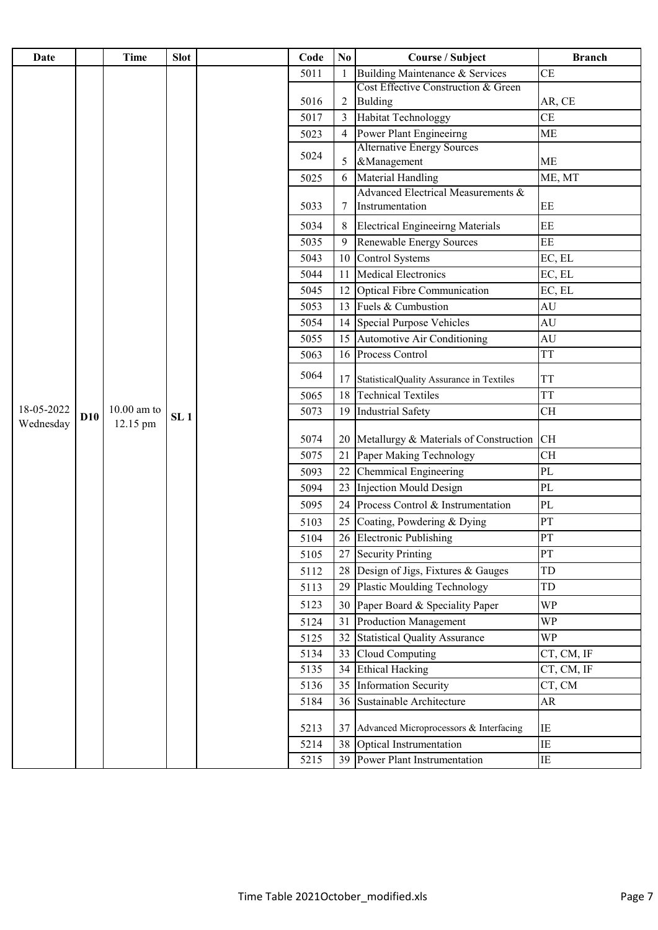| Date       |     | Time          | <b>Slot</b>     | Code | N <sub>0</sub> | <b>Course / Subject</b>                               | <b>Branch</b> |
|------------|-----|---------------|-----------------|------|----------------|-------------------------------------------------------|---------------|
|            |     |               |                 | 5011 |                | Building Maintenance & Services                       | <b>CE</b>     |
|            |     |               |                 |      |                | Cost Effective Construction & Green                   |               |
|            |     |               |                 | 5016 | 2              | <b>Bulding</b>                                        | AR, CE        |
|            |     |               |                 | 5017 | 3              | <b>Habitat Technologgy</b>                            | <b>CE</b>     |
|            |     |               |                 | 5023 |                | Power Plant Engineeirng                               | <b>ME</b>     |
|            |     |               |                 | 5024 | 5              | <b>Alternative Energy Sources</b><br>&Management      | <b>ME</b>     |
|            |     |               |                 | 5025 | 6              | Material Handling                                     | ME, MT        |
|            |     |               |                 | 5033 | 7              | Advanced Electrical Measurements &<br>Instrumentation | EE            |
|            |     |               |                 | 5034 |                | <b>Electrical Engineeirng Materials</b>               | EE            |
|            |     |               |                 | 5035 | 9              | <b>Renewable Energy Sources</b>                       | EE            |
|            |     |               |                 | 5043 | 10             | <b>Control Systems</b>                                | EC, EL        |
|            |     |               |                 | 5044 | 11             | <b>Medical Electronics</b>                            | EC, EL        |
|            |     |               |                 | 5045 | 12             | <b>Optical Fibre Communication</b>                    | EC, EL        |
|            |     |               |                 | 5053 | 13             | Fuels & Cumbustion                                    | AU            |
|            |     |               |                 | 5054 | 14             | <b>Special Purpose Vehicles</b>                       | AU            |
|            |     |               |                 | 5055 | 15             | <b>Automotive Air Conditioning</b>                    | <b>AU</b>     |
|            |     |               |                 | 5063 | 16             | Process Control                                       | <b>TT</b>     |
|            |     |               |                 | 5064 | 17             | StatisticalQuality Assurance in Textiles              | <b>TT</b>     |
|            |     |               |                 | 5065 | 18             | <b>Technical Textiles</b>                             | <b>TT</b>     |
| 18-05-2022 | D10 | $10.00$ am to | SL <sub>1</sub> | 5073 | 19             | <b>Industrial Safety</b>                              | <b>CH</b>     |
| Wednesday  |     | 12.15 pm      |                 | 5074 |                | 20 Metallurgy & Materials of Construction             | <b>CH</b>     |
|            |     |               |                 | 5075 | 21             | Paper Making Technology                               | <b>CH</b>     |
|            |     |               |                 | 5093 | 22             | Chemmical Engineering                                 | PL            |
|            |     |               |                 | 5094 | 23             | <b>Injection Mould Design</b>                         | PL            |
|            |     |               |                 | 5095 | 24             | Process Control & Instrumentation                     | $\rm PL$      |
|            |     |               |                 | 5103 | 25             | Coating, Powdering & Dying                            | PT            |
|            |     |               |                 | 5104 | 26             | <b>Electronic Publishing</b>                          | <b>PT</b>     |
|            |     |               |                 | 5105 | 27             | <b>Security Printing</b>                              | PT            |
|            |     |               |                 | 5112 |                | 28 Design of Jigs, Fixtures & Gauges                  | TD            |
|            |     |               |                 | 5113 | 29             | <b>Plastic Moulding Technology</b>                    | TD            |
|            |     |               |                 | 5123 | 30             | Paper Board & Speciality Paper                        | <b>WP</b>     |
|            |     |               |                 | 5124 | 31             | <b>Production Management</b>                          | <b>WP</b>     |
|            |     |               |                 | 5125 | 32             | <b>Statistical Quality Assurance</b>                  | <b>WP</b>     |
|            |     |               |                 | 5134 | 33             | <b>Cloud Computing</b>                                | CT, CM, IF    |
|            |     |               |                 | 5135 | 34             | <b>Ethical Hacking</b>                                | CT, CM, IF    |
|            |     |               |                 | 5136 | 35             | <b>Information Security</b>                           | CT, CM        |
|            |     |               |                 | 5184 | 36             | Sustainable Architecture                              | AR            |
|            |     |               |                 | 5213 | 37             | Advanced Microprocessors & Interfacing                | IE            |
|            |     |               |                 | 5214 | 38             | Optical Instrumentation                               | IE            |
|            |     |               |                 | 5215 | 39             | Power Plant Instrumentation                           | ΙE            |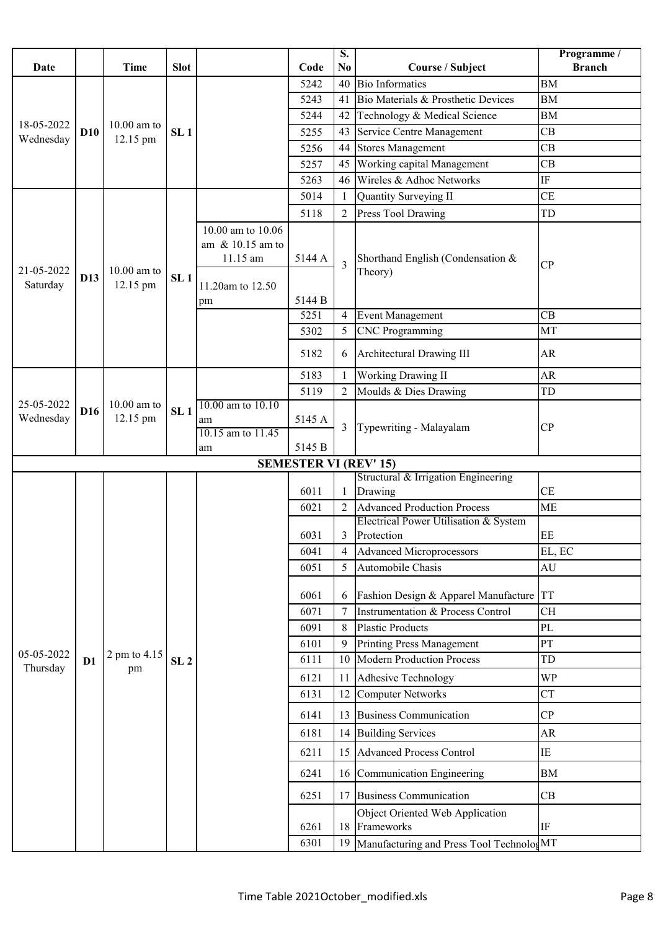| Date                    |                 | <b>Time</b>               | <b>Slot</b>     |                                                      | Code                         | S.<br>N <sub>0</sub> | Course / Subject                                                            | Programme /<br><b>Branch</b> |
|-------------------------|-----------------|---------------------------|-----------------|------------------------------------------------------|------------------------------|----------------------|-----------------------------------------------------------------------------|------------------------------|
|                         |                 |                           |                 |                                                      | 5242                         | 40                   | <b>Bio Informatics</b>                                                      | <b>BM</b>                    |
|                         |                 |                           |                 |                                                      | 5243                         | 41                   | Bio Materials & Prosthetic Devices                                          | <b>BM</b>                    |
| 18-05-2022<br>Wednesday |                 |                           |                 |                                                      | 5244                         | 42                   | Technology & Medical Science                                                | ${\rm BM}$                   |
|                         | <b>D10</b>      | $10.00$ am to             | SL <sub>1</sub> |                                                      | 5255                         | 43                   | Service Centre Management                                                   | CB                           |
|                         |                 | 12.15 pm                  |                 |                                                      | 5256                         | 44                   | <b>Stores Management</b>                                                    | CB                           |
|                         |                 |                           |                 |                                                      | 5257                         | 45                   | Working capital Management                                                  | CB                           |
|                         |                 |                           |                 |                                                      | 5263                         | 46                   | Wireles & Adhoc Networks                                                    | $\rm IF$                     |
|                         |                 |                           |                 |                                                      | 5014                         | 1                    | Quantity Surveying II                                                       | <b>CE</b>                    |
| 21-05-2022              |                 |                           |                 |                                                      | 5118                         | 2                    | Press Tool Drawing                                                          | TD                           |
|                         | D13             | $10.00$ am to<br>12.15 pm | SL <sub>1</sub> | 10.00 am to 10.06<br>am $\&$ 10.15 am to<br>11.15 am | 5144 A                       | $\overline{3}$       | Shorthand English (Condensation &<br>Theory)                                | CP                           |
| Saturday                |                 |                           |                 | 11.20am to 12.50<br>pm                               | 5144 B                       |                      |                                                                             |                              |
|                         |                 |                           |                 |                                                      | 5251                         | 4                    | <b>Event Management</b>                                                     | CB                           |
|                         |                 |                           |                 |                                                      | 5302                         | 5                    | <b>CNC</b> Programming                                                      | MT                           |
|                         |                 |                           |                 |                                                      | 5182                         | 6                    | Architectural Drawing III                                                   | AR                           |
|                         |                 |                           |                 |                                                      | 5183                         | $\mathbf{1}$         | <b>Working Drawing II</b>                                                   | AR                           |
|                         |                 | $10.00$ am to<br>12.15 pm | SL <sub>1</sub> |                                                      | 5119                         | $\overline{2}$       | Moulds & Dies Drawing                                                       | ${\rm TD}$                   |
| 25-05-2022<br>Wednesday | D <sub>16</sub> |                           |                 | 10.00 am to 10.10<br>am<br>10.15 am to 11.45<br>am   | 5145 A<br>5145 B             | 3                    | Typewriting - Malayalam                                                     | CP                           |
|                         |                 |                           |                 |                                                      | <b>SEMESTER VI (REV' 15)</b> |                      |                                                                             |                              |
|                         |                 |                           |                 |                                                      |                              |                      | Structural & Irrigation Engineering                                         |                              |
|                         |                 |                           |                 |                                                      | 6011                         | $\mathbf{1}$         | Drawing                                                                     | <b>CE</b>                    |
|                         |                 |                           |                 |                                                      | 6021                         | $\overline{2}$       | <b>Advanced Production Process</b><br>Electrical Power Utilisation & System | <b>ME</b>                    |
|                         |                 |                           |                 |                                                      | 6031                         | 3                    | Protection                                                                  | EE                           |
|                         |                 |                           |                 |                                                      | 6041                         | 4                    | <b>Advanced Microprocessors</b>                                             | EL, EC                       |
|                         |                 |                           |                 |                                                      | 6051                         | 5                    | Automobile Chasis                                                           | AU                           |
|                         |                 |                           |                 |                                                      | 6061                         | 6                    | Fashion Design & Apparel Manufacture                                        | <b>TT</b>                    |
|                         |                 |                           |                 |                                                      | 6071                         |                      | <b>Instrumentation &amp; Process Control</b>                                | <b>CH</b>                    |
|                         |                 |                           |                 |                                                      | 6091                         | 8                    | <b>Plastic Products</b>                                                     | PL                           |
| 05-05-2022              |                 | 2 pm to 4.15              |                 |                                                      | 6101                         | 9                    | <b>Printing Press Management</b>                                            | PT                           |
| Thursday                | D <sub>1</sub>  | pm                        | SL <sub>2</sub> |                                                      | 6111                         | 10                   | <b>Modern Production Process</b>                                            | TD                           |
|                         |                 |                           |                 |                                                      | 6121                         | 11                   | Adhesive Technology                                                         | <b>WP</b>                    |
|                         |                 |                           |                 |                                                      | 6131                         | 12                   | <b>Computer Networks</b>                                                    | <b>CT</b>                    |
|                         |                 |                           |                 |                                                      | 6141                         | 13                   | <b>Business Communication</b>                                               | CP                           |
|                         |                 |                           |                 |                                                      | 6181                         | 14                   | <b>Building Services</b>                                                    | AR                           |
|                         |                 |                           |                 |                                                      | 6211                         | 15                   | <b>Advanced Process Control</b>                                             | $\rm IE$                     |
|                         |                 |                           |                 |                                                      | 6241                         | 16                   | Communication Engineering                                                   | <b>BM</b>                    |
|                         |                 |                           |                 |                                                      | 6251                         | 17                   | <b>Business Communication</b>                                               | CB                           |
|                         |                 |                           |                 |                                                      | 6261                         | 18                   | Object Oriented Web Application<br>Frameworks                               | $\rm IF$                     |
|                         |                 |                           |                 |                                                      | 6301                         | 19                   | Manufacturing and Press Tool TechnologMT                                    |                              |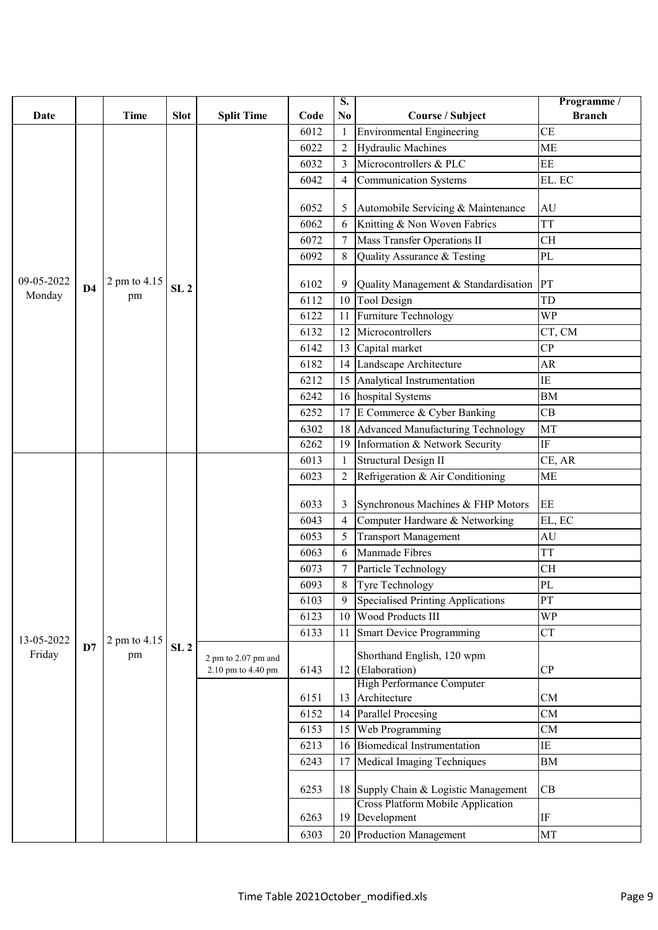| Date       |                | <b>Time</b>  | <b>Slot</b>     | <b>Split Time</b>                         | Code | S.<br>N <sub>0</sub> | <b>Course / Subject</b>                                 | Programme /<br><b>Branch</b> |
|------------|----------------|--------------|-----------------|-------------------------------------------|------|----------------------|---------------------------------------------------------|------------------------------|
|            |                |              |                 |                                           | 6012 | $\mathbf{1}$         | Environmental Engineering                               | <b>CE</b>                    |
|            |                |              |                 |                                           | 6022 | 2                    | <b>Hydraulic Machines</b>                               | <b>ME</b>                    |
|            |                |              |                 |                                           | 6032 | 3                    | Microcontrollers & PLC                                  | EE                           |
|            |                |              |                 |                                           | 6042 | 4                    | <b>Communication Systems</b>                            | EL. EC                       |
|            |                |              |                 |                                           | 6052 | 5                    | Automobile Servicing & Maintenance                      | AU                           |
|            |                |              |                 |                                           | 6062 | 6                    | Knitting & Non Woven Fabrics                            | <b>TT</b>                    |
|            |                |              |                 |                                           | 6072 |                      | <b>Mass Transfer Operations II</b>                      | <b>CH</b>                    |
|            |                |              |                 |                                           | 6092 | 8                    | Quality Assurance & Testing                             | PL                           |
| 09-05-2022 | D <sub>4</sub> | 2 pm to 4.15 | SL <sub>2</sub> |                                           | 6102 | 9                    | Quality Management & Standardisation                    | PT                           |
| Monday     |                | pm           |                 |                                           | 6112 | 10                   | <b>Tool Design</b>                                      | TD                           |
|            |                |              |                 |                                           | 6122 | 11                   | Furniture Technology                                    | <b>WP</b>                    |
|            |                |              |                 |                                           | 6132 | 12                   | Microcontrollers                                        | CT, CM                       |
|            |                |              |                 |                                           | 6142 | 13                   | Capital market                                          | CP                           |
|            |                |              |                 |                                           | 6182 | 14                   | Landscape Architecture                                  | AR                           |
|            |                |              |                 |                                           | 6212 | 15                   | Analytical Instrumentation                              | ΙE                           |
|            |                |              |                 |                                           | 6242 | 16                   | hospital Systems                                        | BM                           |
|            |                |              |                 |                                           | 6252 | 17                   | E Commerce & Cyber Banking                              | CB                           |
|            |                |              |                 |                                           | 6302 | 18                   | Advanced Manufacturing Technology                       | MT                           |
|            |                |              |                 |                                           | 6262 | 19                   | Information & Network Security                          | $\rm IF$                     |
|            |                |              |                 |                                           | 6013 | $\mathbf{1}$         | <b>Structural Design II</b>                             | CE, AR                       |
|            |                |              |                 |                                           | 6023 | 2                    | Refrigeration & Air Conditioning                        | <b>ME</b>                    |
|            |                |              |                 |                                           | 6033 | 3                    | Synchronous Machines & FHP Motors                       | EE                           |
|            |                |              |                 |                                           | 6043 | 4                    | Computer Hardware & Networking                          | EL, EC                       |
|            |                |              |                 |                                           | 6053 | 5                    | <b>Transport Management</b>                             | AU                           |
|            |                |              |                 |                                           | 6063 | 6                    | Manmade Fibres                                          | <b>TT</b>                    |
|            |                |              |                 |                                           | 6073 |                      | Particle Technology                                     | <b>CH</b>                    |
|            |                |              |                 |                                           | 6093 | $8\,$                | Tyre Technology                                         | PL                           |
|            |                |              |                 |                                           | 6103 | 9                    | Specialised Printing Applications                       | PT                           |
|            |                |              |                 |                                           | 6123 | 10                   | Wood Products III                                       | <b>WP</b>                    |
| 13-05-2022 |                | 2 pm to 4.15 |                 |                                           | 6133 | 11                   | <b>Smart Device Programming</b>                         | <b>CT</b>                    |
| Friday     | D7             | pm           | SL <sub>2</sub> | 2 pm to 2.07 pm and<br>2.10 pm to 4.40 pm | 6143 | 12                   | Shorthand English, 120 wpm<br>(Elaboration)             | CP                           |
|            |                |              |                 |                                           |      |                      | <b>High Performance Computer</b>                        |                              |
|            |                |              |                 |                                           | 6151 | 13                   | Architecture                                            | CM                           |
|            |                |              |                 |                                           | 6152 | 14                   | <b>Parallel Procesing</b>                               | CM                           |
|            |                |              |                 |                                           | 6153 | 15                   | Web Programming                                         | CM                           |
|            |                |              |                 |                                           | 6213 | 16                   | <b>Biomedical Instrumentation</b>                       | ΙE                           |
|            |                |              |                 |                                           | 6243 | 17                   | Medical Imaging Techniques                              | BM                           |
|            |                |              |                 |                                           | 6253 | 18                   | Supply Chain & Logistic Management                      | CB                           |
|            |                |              |                 |                                           | 6263 | 19                   | <b>Cross Platform Mobile Application</b><br>Development | IF                           |
|            |                |              |                 |                                           | 6303 | 20                   | <b>Production Management</b>                            | MT                           |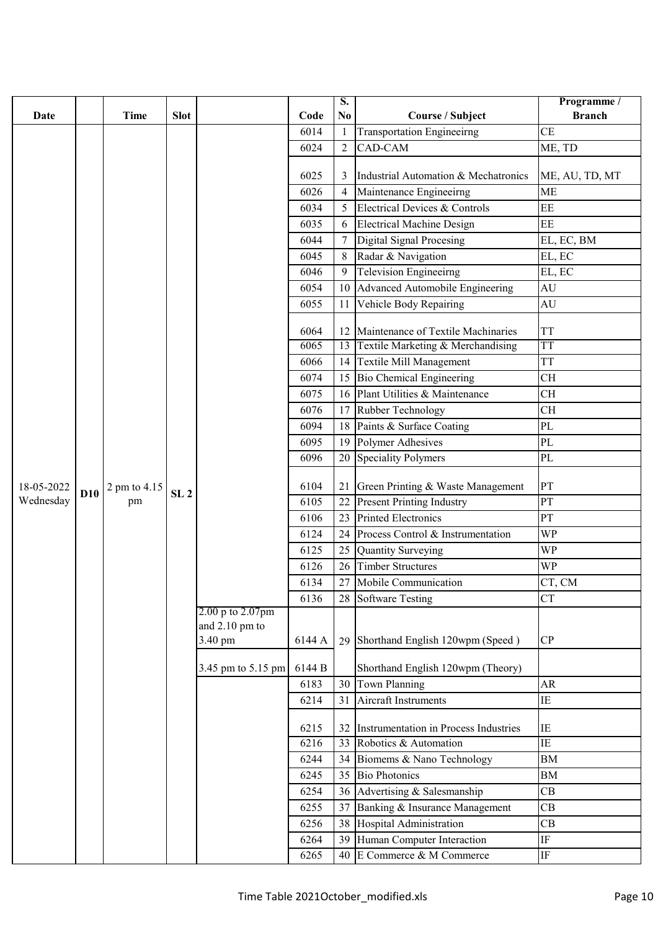|            |            |              |                 |                    |        | $\overline{\mathbf{S}}$ .        |                                                          | Programme /    |
|------------|------------|--------------|-----------------|--------------------|--------|----------------------------------|----------------------------------------------------------|----------------|
| Date       |            | <b>Time</b>  | <b>Slot</b>     |                    | Code   | No                               | Course / Subject                                         | <b>Branch</b>  |
|            |            |              |                 |                    | 6014   | $\mathbf{1}$                     | <b>Transportation Engineeirng</b>                        | <b>CE</b>      |
|            |            |              |                 |                    | 6024   | $\overline{2}$                   | CAD-CAM                                                  | ME, TD         |
|            |            |              |                 |                    | 6025   |                                  | Industrial Automation & Mechatronics                     |                |
|            |            |              |                 |                    |        | 3                                |                                                          | ME, AU, TD, MT |
|            |            |              |                 |                    | 6026   | $\overline{4}$                   | Maintenance Engineeirng<br>Electrical Devices & Controls | <b>ME</b>      |
|            |            |              |                 |                    | 6034   | 5                                |                                                          | EE             |
|            |            |              |                 | 6035               | 6      | <b>Electrical Machine Design</b> | EE                                                       |                |
|            |            |              |                 |                    | 6044   | 7                                | Digital Signal Procesing                                 | EL, EC, BM     |
|            |            |              |                 |                    | 6045   | 8                                | Radar & Navigation                                       | EL, EC         |
|            |            |              |                 |                    | 6046   | 9                                | <b>Television Engineeirng</b>                            | EL, EC         |
|            |            |              |                 |                    | 6054   | 10                               | Advanced Automobile Engineering                          | AU             |
|            |            |              |                 |                    | 6055   | 11                               | Vehicle Body Repairing                                   | AU             |
|            |            |              |                 |                    | 6064   | 12                               | Maintenance of Textile Machinaries                       | <b>TT</b>      |
|            |            |              |                 |                    | 6065   | 13                               | Textile Marketing & Merchandising                        | <b>TT</b>      |
|            |            |              |                 |                    | 6066   | 14                               | <b>Textile Mill Management</b>                           | <b>TT</b>      |
|            |            |              |                 |                    | 6074   | 15                               | <b>Bio Chemical Engineering</b>                          | <b>CH</b>      |
|            |            |              |                 |                    | 6075   | 16                               | Plant Utilities & Maintenance                            | <b>CH</b>      |
|            |            |              |                 | 6076               | 17     | Rubber Technology                | <b>CH</b>                                                |                |
|            |            |              |                 | 6094               | 18     | Paints & Surface Coating         | $\rm PL$                                                 |                |
|            |            |              |                 | 6095               | 19     | Polymer Adhesives                | PL                                                       |                |
|            |            |              |                 |                    | 6096   | 20                               | <b>Speciality Polymers</b>                               | $\rm PL$       |
| 18-05-2022 |            | 2 pm to 4.15 |                 |                    | 6104   | 21                               | Green Printing & Waste Management                        | PT             |
| Wednesday  | <b>D10</b> | pm           | SL <sub>2</sub> |                    | 6105   | 22                               | <b>Present Printing Industry</b>                         | PT             |
|            |            |              |                 |                    | 6106   | 23                               | <b>Printed Electronics</b>                               | PT             |
|            |            |              |                 |                    | 6124   | 24                               | Process Control & Instrumentation                        | WP             |
|            |            |              |                 |                    | 6125   | 25                               | <b>Quantity Surveying</b>                                | <b>WP</b>      |
|            |            |              |                 |                    | 6126   | 26                               | <b>Timber Structures</b>                                 | WP             |
|            |            |              |                 |                    | 6134   |                                  | 27 Mobile Communication                                  | CT, CM         |
|            |            |              |                 |                    | 6136   | 28                               | <b>Software Testing</b>                                  | <b>CT</b>      |
|            |            |              |                 | 2.00 p to 2.07pm   |        |                                  |                                                          |                |
|            |            |              |                 | and $2.10$ pm to   |        |                                  |                                                          |                |
|            |            |              |                 | 3.40 pm            | 6144 A | 29                               | Shorthand English 120wpm (Speed)                         | CP             |
|            |            |              |                 | 3.45 pm to 5.15 pm | 6144 B |                                  | Shorthand English 120wpm (Theory)                        |                |
|            |            |              |                 |                    | 6183   | 30                               | Town Planning                                            | AR             |
|            |            |              |                 |                    | 6214   | 31                               | Aircraft Instruments                                     | ΙE             |
|            |            |              |                 |                    | 6215   | 32                               | Instrumentation in Process Industries                    | IE             |
|            |            |              |                 |                    | 6216   | 33                               | Robotics & Automation                                    | $\rm IE$       |
|            |            |              |                 |                    | 6244   |                                  | 34 Biomems & Nano Technology                             | <b>BM</b>      |
|            |            |              |                 |                    | 6245   | 35                               | <b>Bio Photonics</b>                                     | ${\rm BM}$     |
|            |            |              |                 |                    | 6254   | 36                               | Advertising & Salesmanship                               | CB             |
|            |            |              |                 |                    | 6255   | 37                               | Banking & Insurance Management                           | CB             |
|            |            |              |                 |                    | 6256   | 38                               | Hospital Administration                                  | CB             |
|            |            |              |                 |                    | 6264   | 39                               | Human Computer Interaction                               | $\rm IF$       |
|            |            |              |                 |                    | 6265   |                                  | 40 E Commerce & M Commerce                               | $\rm IF$       |